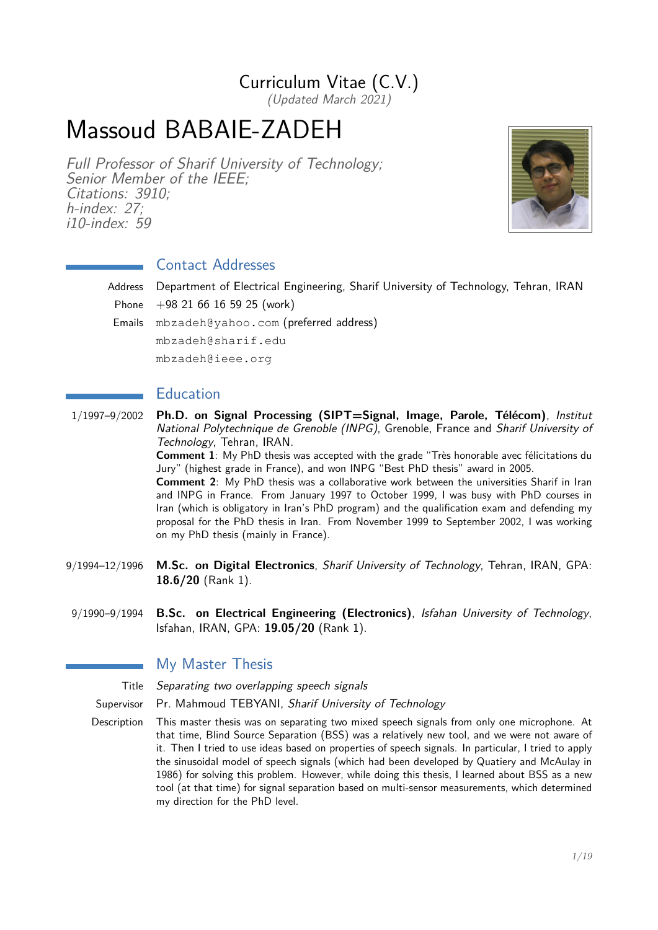## Curriculum Vitae (C.V.)

(Updated March 2021)

# Massoud BABAIE-ZADEH

Full Professor of Sharif University of Technology; Senior Member of the IEEE; Citations: 3910; h-index: 27; i10-index: 59



## Contact Addresses

Address Department of Electrical Engineering, Sharif University of Technology, Tehran, IRAN Phone  $+98$  21 66 16 59 25 (work) Emails mbzadeh@yahoo.com (preferred address) mbzadeh@sharif.edu

mbzadeh@ieee.org

## Education

1/1997–9/2002 **Ph.D. on Signal Processing (SIPT=Signal, Image, Parole, Télécom)**, Institut National Polytechnique de Grenoble (INPG), Grenoble, France and Sharif University of Technology, Tehran, IRAN.

**Comment 1**: My PhD thesis was accepted with the grade "Très honorable avec félicitations du Jury" (highest grade in France), and won INPG "Best PhD thesis" award in 2005.

**Comment 2**: My PhD thesis was a collaborative work between the universities Sharif in Iran and INPG in France. From January 1997 to October 1999, I was busy with PhD courses in Iran (which is obligatory in Iran's PhD program) and the qualification exam and defending my proposal for the PhD thesis in Iran. From November 1999 to September 2002, I was working on my PhD thesis (mainly in France).

- 9/1994–12/1996 **M.Sc. on Digital Electronics**, Sharif University of Technology, Tehran, IRAN, GPA: **18.6/20** (Rank 1).
- 9/1990–9/1994 **B.Sc. on Electrical Engineering (Electronics)**, Isfahan University of Technology, Isfahan, IRAN, GPA: **19.05/20** (Rank 1).

## My Master Thesis

Title Separating two overlapping speech signals

Supervisor Pr. Mahmoud TEBYANI, Sharif University of Technology

Description This master thesis was on separating two mixed speech signals from only one microphone. At that time, Blind Source Separation (BSS) was a relatively new tool, and we were not aware of it. Then I tried to use ideas based on properties of speech signals. In particular, I tried to apply the sinusoidal model of speech signals (which had been developed by Quatiery and McAulay in 1986) for solving this problem. However, while doing this thesis, I learned about BSS as a new tool (at that time) for signal separation based on multi-sensor measurements, which determined my direction for the PhD level.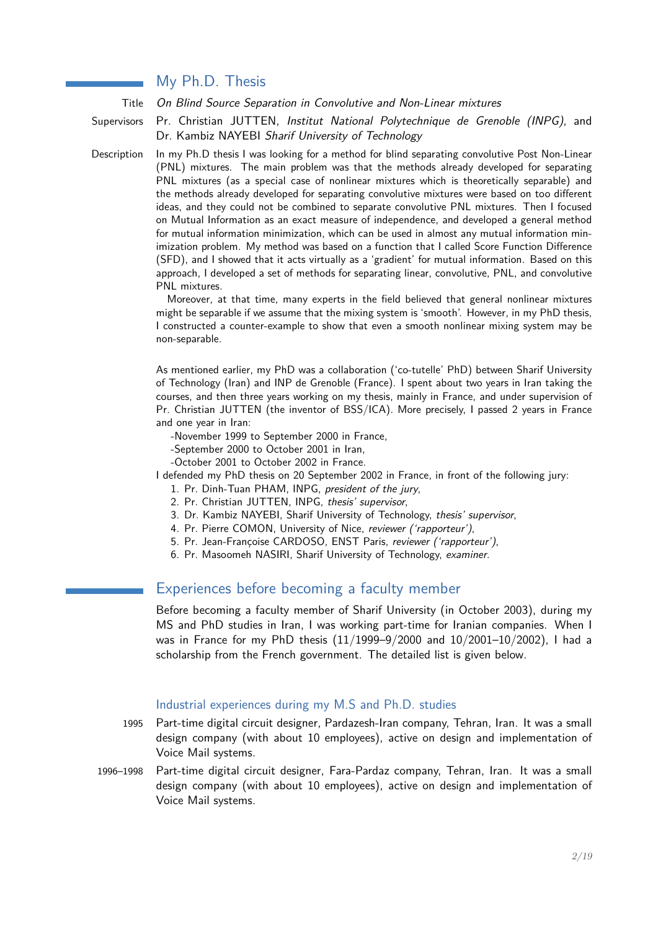## My Ph.D. Thesis

Title On Blind Source Separation in Convolutive and Non-Linear mixtures

Supervisors Pr. Christian JUTTEN, Institut National Polytechnique de Grenoble (INPG), and Dr. Kambiz NAYEBI Sharif University of Technology

Description In my Ph.D thesis I was looking for a method for blind separating convolutive Post Non-Linear (PNL) mixtures. The main problem was that the methods already developed for separating PNL mixtures (as a special case of nonlinear mixtures which is theoretically separable) and the methods already developed for separating convolutive mixtures were based on too different ideas, and they could not be combined to separate convolutive PNL mixtures. Then I focused on Mutual Information as an exact measure of independence, and developed a general method for mutual information minimization, which can be used in almost any mutual information minimization problem. My method was based on a function that I called Score Function Difference (SFD), and I showed that it acts virtually as a 'gradient' for mutual information. Based on this approach, I developed a set of methods for separating linear, convolutive, PNL, and convolutive PNL mixtures.

> Moreover, at that time, many experts in the field believed that general nonlinear mixtures might be separable if we assume that the mixing system is 'smooth'. However, in my PhD thesis, I constructed a counter-example to show that even a smooth nonlinear mixing system may be non-separable.

> As mentioned earlier, my PhD was a collaboration ('co-tutelle' PhD) between Sharif University of Technology (Iran) and INP de Grenoble (France). I spent about two years in Iran taking the courses, and then three years working on my thesis, mainly in France, and under supervision of Pr. Christian JUTTEN (the inventor of BSS/ICA). More precisely, I passed 2 years in France and one year in Iran:

-November 1999 to September 2000 in France,

- -September 2000 to October 2001 in Iran,
- -October 2001 to October 2002 in France.

I defended my PhD thesis on 20 September 2002 in France, in front of the following jury:

- 1. Pr. Dinh-Tuan PHAM, INPG, president of the jury,
- 2. Pr. Christian JUTTEN, INPG, thesis' supervisor,
- 3. Dr. Kambiz NAYEBI, Sharif University of Technology, thesis' supervisor,
- 4. Pr. Pierre COMON, University of Nice, reviewer ('rapporteur'),
- 5. Pr. Jean-Françoise CARDOSO, ENST Paris, reviewer ('rapporteur'),
- 6. Pr. Masoomeh NASIRI, Sharif University of Technology, examiner.

## Experiences before becoming a faculty member

Before becoming a faculty member of Sharif University (in October 2003), during my MS and PhD studies in Iran, I was working part-time for Iranian companies. When I was in France for my PhD thesis (11/1999–9/2000 and 10/2001–10/2002), I had a scholarship from the French government. The detailed list is given below.

### Industrial experiences during my M.S and Ph.D. studies

- 1995 Part-time digital circuit designer, Pardazesh-Iran company, Tehran, Iran. It was a small design company (with about 10 employees), active on design and implementation of Voice Mail systems.
- 1996–1998 Part-time digital circuit designer, Fara-Pardaz company, Tehran, Iran. It was a small design company (with about 10 employees), active on design and implementation of Voice Mail systems.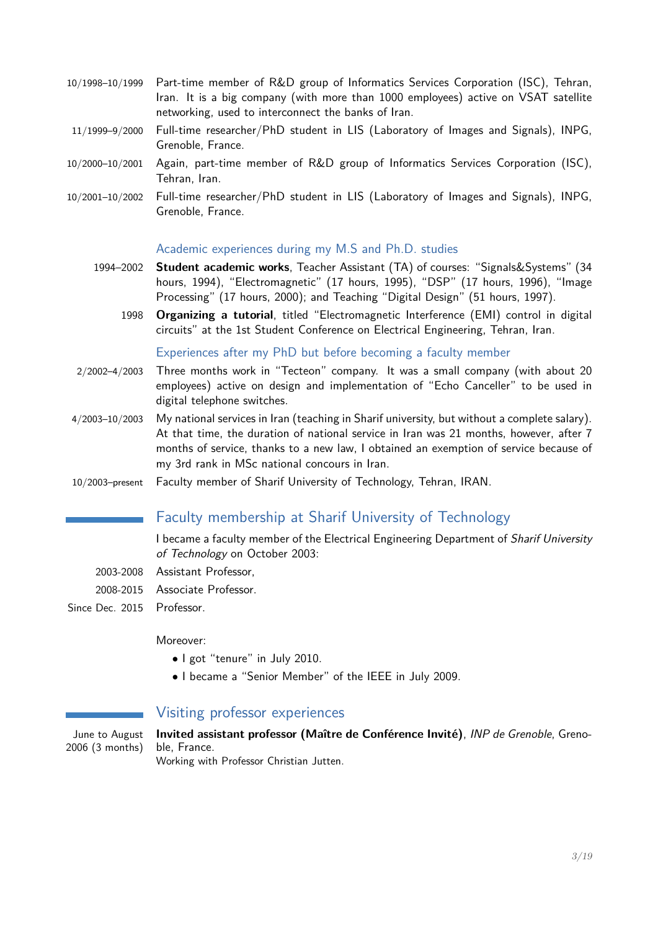- 10/1998–10/1999 Part-time member of R&D group of Informatics Services Corporation (ISC), Tehran, Iran. It is a big company (with more than 1000 employees) active on VSAT satellite networking, used to interconnect the banks of Iran.
- 11/1999–9/2000 Full-time researcher/PhD student in LIS (Laboratory of Images and Signals), INPG, Grenoble, France.
- 10/2000–10/2001 Again, part-time member of R&D group of Informatics Services Corporation (ISC), Tehran, Iran.
- 10/2001–10/2002 Full-time researcher/PhD student in LIS (Laboratory of Images and Signals), INPG, Grenoble, France.

#### Academic experiences during my M.S and Ph.D. studies

- 1994–2002 **Student academic works**, Teacher Assistant (TA) of courses: "Signals&Systems" (34 hours, 1994), "Electromagnetic" (17 hours, 1995), "DSP" (17 hours, 1996), "Image Processing" (17 hours, 2000); and Teaching "Digital Design" (51 hours, 1997).
	- 1998 **Organizing a tutorial**, titled "Electromagnetic Interference (EMI) control in digital circuits" at the 1st Student Conference on Electrical Engineering, Tehran, Iran.

#### Experiences after my PhD but before becoming a faculty member

- 2/2002–4/2003 Three months work in "Tecteon" company. It was a small company (with about 20 employees) active on design and implementation of "Echo Canceller" to be used in digital telephone switches.
- 4/2003–10/2003 My national services in Iran (teaching in Sharif university, but without a complete salary). At that time, the duration of national service in Iran was 21 months, however, after 7 months of service, thanks to a new law, I obtained an exemption of service because of my 3rd rank in MSc national concours in Iran.
- 10/2003–present Faculty member of Sharif University of Technology, Tehran, IRAN.

## Faculty membership at Sharif University of Technology

I became a faculty member of the Electrical Engineering Department of Sharif University of Technology on October 2003:

- 2003-2008 Assistant Professor,
- 2008-2015 Associate Professor.
- Since Dec. 2015 Professor.

#### Moreover:

- I got "tenure" in July 2010.
- I became a "Senior Member" of the IEEE in July 2009.

## Visiting professor experiences

June to August 2006 (3 months) **Invited assistant professor (Maître de Conférence Invité)**, INP de Grenoble, Grenoble, France.

Working with Professor Christian Jutten.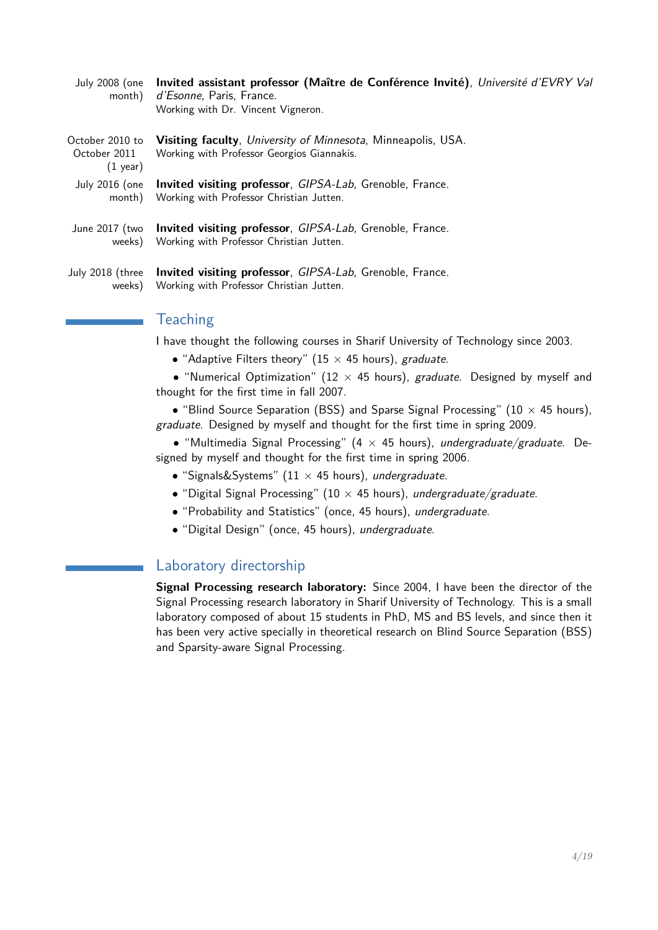| July 2008 (one<br>month)                              | Invited assistant professor (Maître de Conférence Invité), Université d'EVRY Val<br>d'Esonne, Paris, France.<br>Working with Dr. Vincent Vigneron. |
|-------------------------------------------------------|----------------------------------------------------------------------------------------------------------------------------------------------------|
| October 2010 to<br>October 2011<br>$(1 \text{ year})$ | <b>Visiting faculty</b> , <i>University of Minnesota</i> , Minneapolis, USA.<br>Working with Professor Georgios Giannakis.                         |
| July 2016 (one                                        | <b>Invited visiting professor</b> , <i>GIPSA-Lab</i> , Grenoble, France.                                                                           |
| month)                                                | Working with Professor Christian Jutten.                                                                                                           |
| June 2017 (two                                        | <b>Invited visiting professor</b> , <i>GIPSA-Lab</i> , Grenoble, France.                                                                           |
| weeks)                                                | Working with Professor Christian Jutten.                                                                                                           |

July 2018 (three weeks) **Invited visiting professor**, GIPSA-Lab, Grenoble, France. Working with Professor Christian Jutten.

## **Teaching**

I have thought the following courses in Sharif University of Technology since 2003.

• "Adaptive Filters theory" (15  $\times$  45 hours), graduate.

• "Numerical Optimization" (12  $\times$  45 hours), graduate. Designed by myself and thought for the first time in fall 2007.

• "Blind Source Separation (BSS) and Sparse Signal Processing" (10  $\times$  45 hours), graduate. Designed by myself and thought for the first time in spring 2009.

• "Multimedia Signal Processing" (4  $\times$  45 hours), undergraduate/graduate. Designed by myself and thought for the first time in spring 2006.

- "Signals&Systems" ( $11 \times 45$  hours), undergraduate.
- "Digital Signal Processing" (10  $\times$  45 hours), undergraduate/graduate.
- "Probability and Statistics" (once, 45 hours), undergraduate.
- "Digital Design" (once, 45 hours), undergraduate.

## Laboratory directorship

**Signal Processing research laboratory:** Since 2004, I have been the director of the Signal Processing research laboratory in Sharif University of Technology. This is a small laboratory composed of about 15 students in PhD, MS and BS levels, and since then it has been very active specially in theoretical research on Blind Source Separation (BSS) and Sparsity-aware Signal Processing.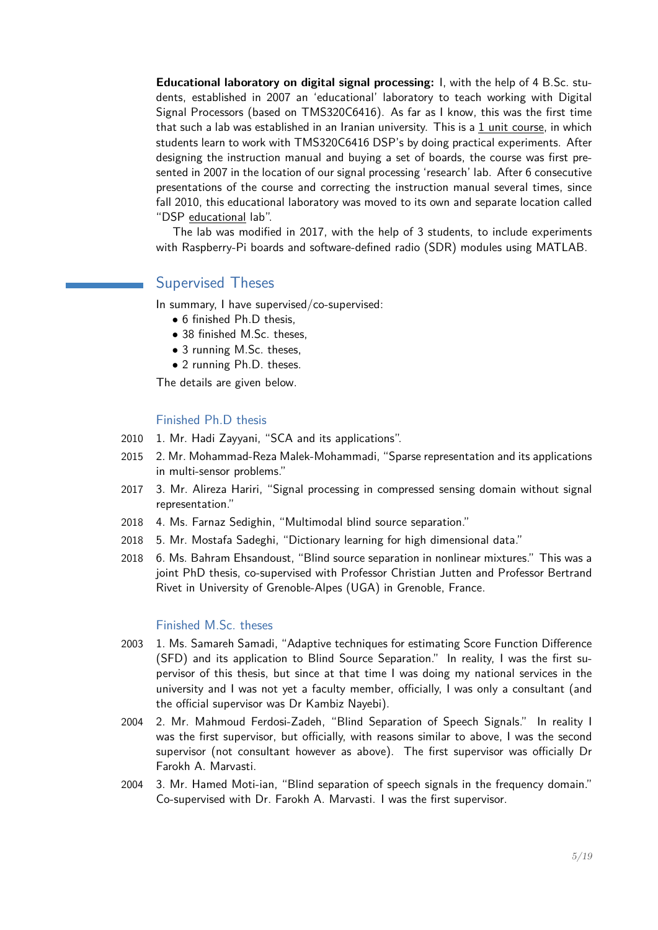**Educational laboratory on digital signal processing:** I, with the help of 4 B.Sc. students, established in 2007 an 'educational' laboratory to teach working with Digital Signal Processors (based on TMS320C6416). As far as I know, this was the first time that such a lab was established in an Iranian university. This is a 1 unit course, in which students learn to work with TMS320C6416 DSP's by doing practical experiments. After designing the instruction manual and buying a set of boards, the course was first presented in 2007 in the location of our signal processing 'research' lab. After 6 consecutive presentations of the course and correcting the instruction manual several times, since fall 2010, this educational laboratory was moved to its own and separate location called "DSP educational lab".

The lab was modified in 2017, with the help of 3 students, to include experiments with Raspberry-Pi boards and software-defined radio (SDR) modules using MATLAB.

## Supervised Theses

In summary, I have supervised/co-supervised:

- 6 finished Ph.D thesis,
- 38 finished M.Sc. theses.
- 3 running M.Sc. theses,
- 2 running Ph.D. theses.

The details are given below.

#### Finished Ph.D thesis

- 2010 1. Mr. Hadi Zayyani, "SCA and its applications".
- 2015 2. Mr. Mohammad-Reza Malek-Mohammadi, "Sparse representation and its applications in multi-sensor problems."
- 2017 3. Mr. Alireza Hariri, "Signal processing in compressed sensing domain without signal representation."
- 2018 4. Ms. Farnaz Sedighin, "Multimodal blind source separation."
- 2018 5. Mr. Mostafa Sadeghi, "Dictionary learning for high dimensional data."
- 2018 6. Ms. Bahram Ehsandoust, "Blind source separation in nonlinear mixtures." This was a joint PhD thesis, co-supervised with Professor Christian Jutten and Professor Bertrand Rivet in University of Grenoble-Alpes (UGA) in Grenoble, France.

#### Finished M.Sc. theses

- 2003 1. Ms. Samareh Samadi, "Adaptive techniques for estimating Score Function Difference (SFD) and its application to Blind Source Separation." In reality, I was the first supervisor of this thesis, but since at that time I was doing my national services in the university and I was not yet a faculty member, officially, I was only a consultant (and the official supervisor was Dr Kambiz Nayebi).
- 2004 2. Mr. Mahmoud Ferdosi-Zadeh, "Blind Separation of Speech Signals." In reality I was the first supervisor, but officially, with reasons similar to above, I was the second supervisor (not consultant however as above). The first supervisor was officially Dr Farokh A. Marvasti.
- 2004 3. Mr. Hamed Moti-ian, "Blind separation of speech signals in the frequency domain." Co-supervised with Dr. Farokh A. Marvasti. I was the first supervisor.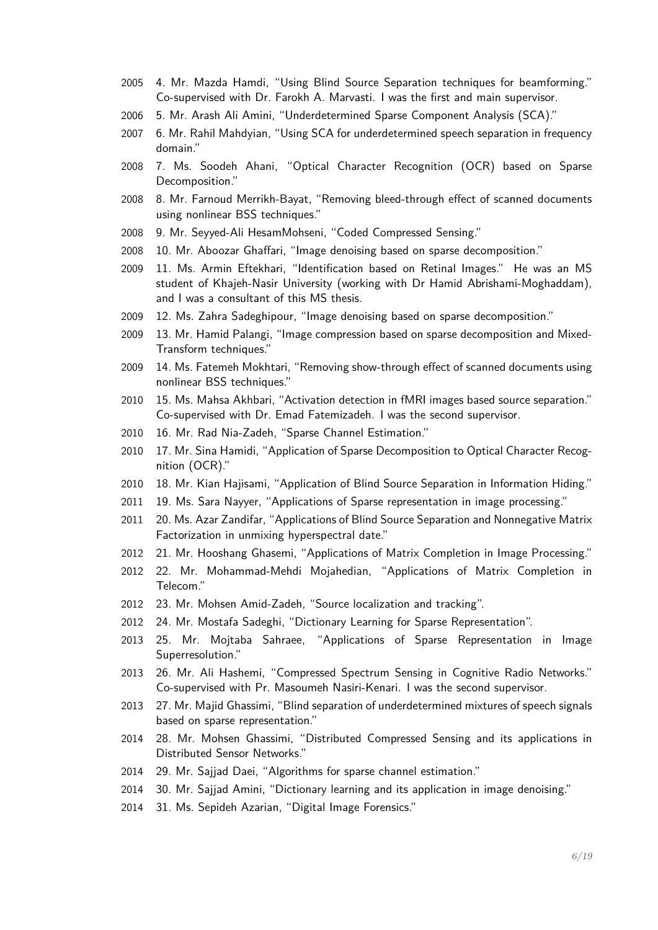- 4. Mr. Mazda Hamdi, "Using Blind Source Separation techniques for beamforming." Co-supervised with Dr. Farokh A. Marvasti. I was the first and main supervisor.
- 5. Mr. Arash Ali Amini, "Underdetermined Sparse Component Analysis (SCA)."
- 6. Mr. Rahil Mahdyian, "Using SCA for underdetermined speech separation in frequency domain."
- 7. Ms. Soodeh Ahani, "Optical Character Recognition (OCR) based on Sparse Decomposition."
- 8. Mr. Farnoud Merrikh-Bayat, "Removing bleed-through effect of scanned documents using nonlinear BSS techniques."
- 9. Mr. Seyyed-Ali HesamMohseni, "Coded Compressed Sensing."
- 10. Mr. Aboozar Ghaffari, "Image denoising based on sparse decomposition."
- 11. Ms. Armin Eftekhari, "Identification based on Retinal Images." He was an MS student of Khajeh-Nasir University (working with Dr Hamid Abrishami-Moghaddam), and I was a consultant of this MS thesis.
- 12. Ms. Zahra Sadeghipour, "Image denoising based on sparse decomposition."
- 13. Mr. Hamid Palangi, "Image compression based on sparse decomposition and Mixed-Transform techniques."
- 14. Ms. Fatemeh Mokhtari, "Removing show-through effect of scanned documents using nonlinear BSS techniques."
- 15. Ms. Mahsa Akhbari, "Activation detection in fMRI images based source separation." Co-supervised with Dr. Emad Fatemizadeh. I was the second supervisor.
- 16. Mr. Rad Nia-Zadeh, "Sparse Channel Estimation."
- 17. Mr. Sina Hamidi, "Application of Sparse Decomposition to Optical Character Recognition (OCR)."
- 18. Mr. Kian Hajisami, "Application of Blind Source Separation in Information Hiding."
- 19. Ms. Sara Nayyer, "Applications of Sparse representation in image processing."
- 20. Ms. Azar Zandifar, "Applications of Blind Source Separation and Nonnegative Matrix Factorization in unmixing hyperspectral date."
- 2012 21. Mr. Hooshang Ghasemi, "Applications of Matrix Completion in Image Processing."
- 22. Mr. Mohammad-Mehdi Mojahedian, "Applications of Matrix Completion in Telecom."
- 23. Mr. Mohsen Amid-Zadeh, "Source localization and tracking".
- 24. Mr. Mostafa Sadeghi, "Dictionary Learning for Sparse Representation".
- 25. Mr. Mojtaba Sahraee, "Applications of Sparse Representation in Image Superresolution."
- 26. Mr. Ali Hashemi, "Compressed Spectrum Sensing in Cognitive Radio Networks." Co-supervised with Pr. Masoumeh Nasiri-Kenari. I was the second supervisor.
- 27. Mr. Majid Ghassimi, "Blind separation of underdetermined mixtures of speech signals based on sparse representation."
- 28. Mr. Mohsen Ghassimi, "Distributed Compressed Sensing and its applications in Distributed Sensor Networks."
- 29. Mr. Sajjad Daei, "Algorithms for sparse channel estimation."
- 30. Mr. Sajjad Amini, "Dictionary learning and its application in image denoising."
- 31. Ms. Sepideh Azarian, "Digital Image Forensics."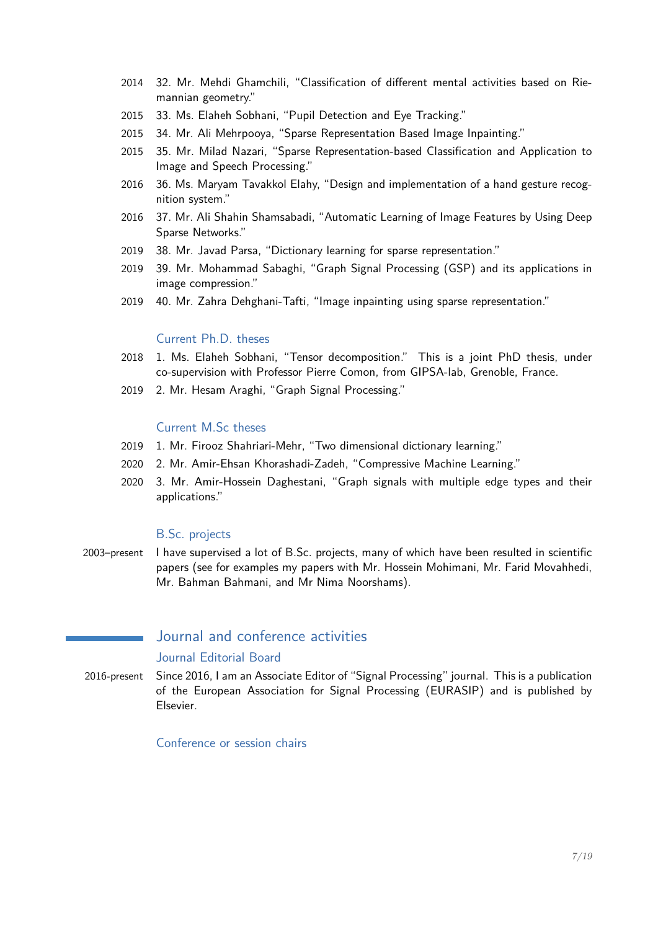- 2014 32. Mr. Mehdi Ghamchili, "Classification of different mental activities based on Riemannian geometry."
- 2015 33. Ms. Elaheh Sobhani, "Pupil Detection and Eye Tracking."
- 2015 34. Mr. Ali Mehrpooya, "Sparse Representation Based Image Inpainting."
- 2015 35. Mr. Milad Nazari, "Sparse Representation-based Classification and Application to Image and Speech Processing."
- 2016 36. Ms. Maryam Tavakkol Elahy, "Design and implementation of a hand gesture recognition system."
- 2016 37. Mr. Ali Shahin Shamsabadi, "Automatic Learning of Image Features by Using Deep Sparse Networks."
- 2019 38. Mr. Javad Parsa, "Dictionary learning for sparse representation."
- 2019 39. Mr. Mohammad Sabaghi, "Graph Signal Processing (GSP) and its applications in image compression."
- 2019 40. Mr. Zahra Dehghani-Tafti, "Image inpainting using sparse representation."

### Current Ph.D. theses

- 2018 1. Ms. Elaheh Sobhani, "Tensor decomposition." This is a joint PhD thesis, under co-supervision with Professor Pierre Comon, from GIPSA-lab, Grenoble, France.
- 2019 2. Mr. Hesam Araghi, "Graph Signal Processing."

#### Current M.Sc theses

- 2019 1. Mr. Firooz Shahriari-Mehr, "Two dimensional dictionary learning."
- 2020 2. Mr. Amir-Ehsan Khorashadi-Zadeh, "Compressive Machine Learning."
- 2020 3. Mr. Amir-Hossein Daghestani, "Graph signals with multiple edge types and their applications."

#### B.Sc. projects

2003–present I have supervised a lot of B.Sc. projects, many of which have been resulted in scientific papers (see for examples my papers with Mr. Hossein Mohimani, Mr. Farid Movahhedi, Mr. Bahman Bahmani, and Mr Nima Noorshams).

## Journal and conference activities

#### Journal Editorial Board

2016-present Since 2016, I am an Associate Editor of "Signal Processing" journal. This is a publication of the European Association for Signal Processing (EURASIP) and is published by Elsevier.

Conference or session chairs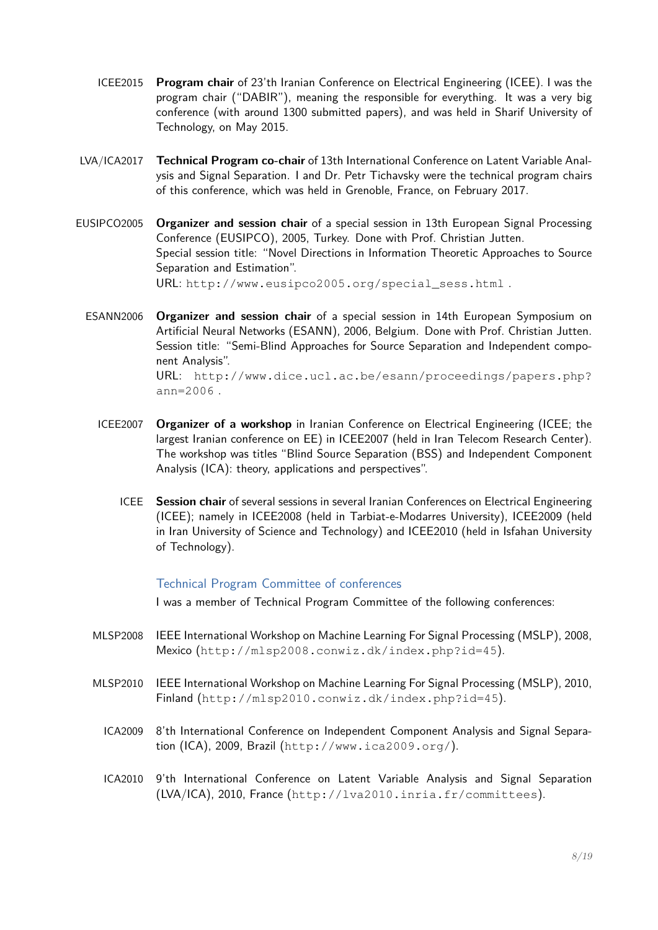- ICEE2015 **Program chair** of 23'th Iranian Conference on Electrical Engineering (ICEE). I was the program chair ("DABIR"), meaning the responsible for everything. It was a very big conference (with around 1300 submitted papers), and was held in Sharif University of Technology, on May 2015.
- LVA/ICA2017 **Technical Program co-chair** of 13th International Conference on Latent Variable Analysis and Signal Separation. I and Dr. Petr Tichavsky were the technical program chairs of this conference, which was held in Grenoble, France, on February 2017.
- EUSIPCO2005 **Organizer and session chair** of a special session in 13th European Signal Processing Conference (EUSIPCO), 2005, Turkey. Done with Prof. Christian Jutten. Special session title: "Novel Directions in Information Theoretic Approaches to Source Separation and Estimation". URL: [http://www.eusipco2005.org/special\\_sess.html](http://www.eusipco2005.org/special_sess.html) .
	- ESANN2006 **Organizer and session chair** of a special session in 14th European Symposium on Artificial Neural Networks (ESANN), 2006, Belgium. Done with Prof. Christian Jutten. Session title: "Semi-Blind Approaches for Source Separation and Independent component Analysis". URL: [http://www.dice.ucl.ac.be/esann/proceedings/papers.php?](http://www.dice.ucl.ac.be/esann/proceedings/papers.php?ann=2006) [ann=2006](http://www.dice.ucl.ac.be/esann/proceedings/papers.php?ann=2006) .
		- ICEE2007 **Organizer of a workshop** in Iranian Conference on Electrical Engineering (ICEE; the largest Iranian conference on EE) in ICEE2007 (held in Iran Telecom Research Center). The workshop was titles "Blind Source Separation (BSS) and Independent Component Analysis (ICA): theory, applications and perspectives".
			- ICEE **Session chair** of several sessions in several Iranian Conferences on Electrical Engineering (ICEE); namely in ICEE2008 (held in Tarbiat-e-Modarres University), ICEE2009 (held in Iran University of Science and Technology) and ICEE2010 (held in Isfahan University of Technology).

#### Technical Program Committee of conferences

I was a member of Technical Program Committee of the following conferences:

- MLSP2008 IEEE International Workshop on Machine Learning For Signal Processing (MSLP), 2008, Mexico (<http://mlsp2008.conwiz.dk/index.php?id=45>).
- MLSP2010 IEEE International Workshop on Machine Learning For Signal Processing (MSLP), 2010, Finland (<http://mlsp2010.conwiz.dk/index.php?id=45>).
	- ICA2009 8'th International Conference on Independent Component Analysis and Signal Separation (ICA), 2009, Brazil (<http://www.ica2009.org/>).
	- ICA2010 9'th International Conference on Latent Variable Analysis and Signal Separation (LVA/ICA), 2010, France (<http://lva2010.inria.fr/committees>).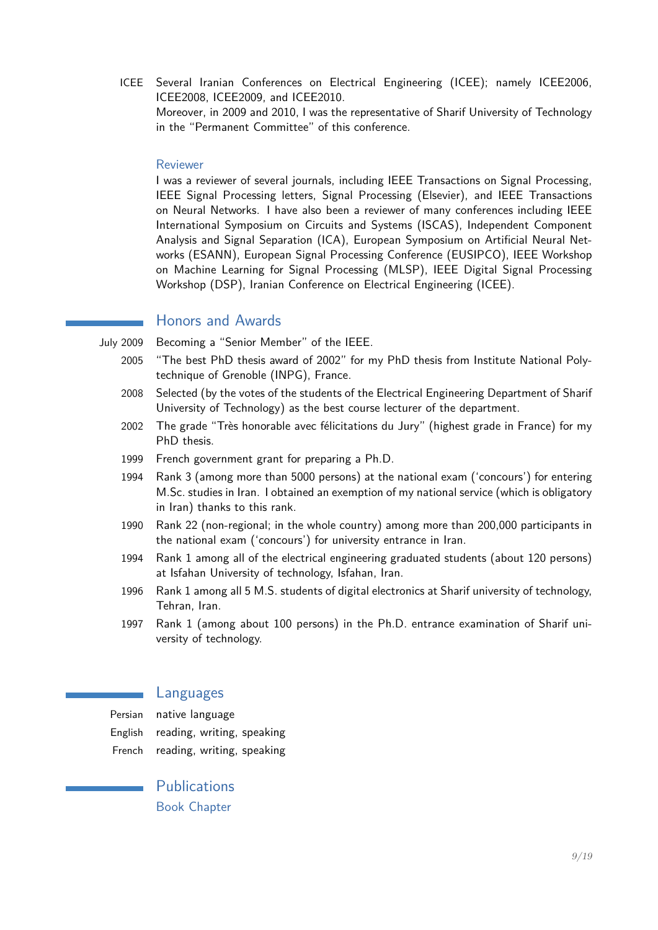ICEE Several Iranian Conferences on Electrical Engineering (ICEE); namely ICEE2006, ICEE2008, ICEE2009, and ICEE2010.

Moreover, in 2009 and 2010, I was the representative of Sharif University of Technology in the "Permanent Committee" of this conference.

#### Reviewer

I was a reviewer of several journals, including IEEE Transactions on Signal Processing, IEEE Signal Processing letters, Signal Processing (Elsevier), and IEEE Transactions on Neural Networks. I have also been a reviewer of many conferences including IEEE International Symposium on Circuits and Systems (ISCAS), Independent Component Analysis and Signal Separation (ICA), European Symposium on Artificial Neural Networks (ESANN), European Signal Processing Conference (EUSIPCO), IEEE Workshop on Machine Learning for Signal Processing (MLSP), IEEE Digital Signal Processing Workshop (DSP), Iranian Conference on Electrical Engineering (ICEE).

## Honors and Awards

- July 2009 Becoming a "Senior Member" of the IEEE.
	- 2005 "The best PhD thesis award of 2002" for my PhD thesis from Institute National Polytechnique of Grenoble (INPG), France.
	- 2008 Selected (by the votes of the students of the Electrical Engineering Department of Sharif University of Technology) as the best course lecturer of the department.
	- 2002 The grade "Très honorable avec félicitations du Jury" (highest grade in France) for my PhD thesis.
	- 1999 French government grant for preparing a Ph.D.
	- 1994 Rank 3 (among more than 5000 persons) at the national exam ('concours') for entering M.Sc. studies in Iran. I obtained an exemption of my national service (which is obligatory in Iran) thanks to this rank.
	- 1990 Rank 22 (non-regional; in the whole country) among more than 200,000 participants in the national exam ('concours') for university entrance in Iran.
	- 1994 Rank 1 among all of the electrical engineering graduated students (about 120 persons) at Isfahan University of technology, Isfahan, Iran.
	- 1996 Rank 1 among all 5 M.S. students of digital electronics at Sharif university of technology, Tehran, Iran.
	- 1997 Rank 1 (among about 100 persons) in the Ph.D. entrance examination of Sharif university of technology.

## Languages

- Persian native language
- English reading, writing, speaking
- French reading, writing, speaking

**Publications** Book Chapter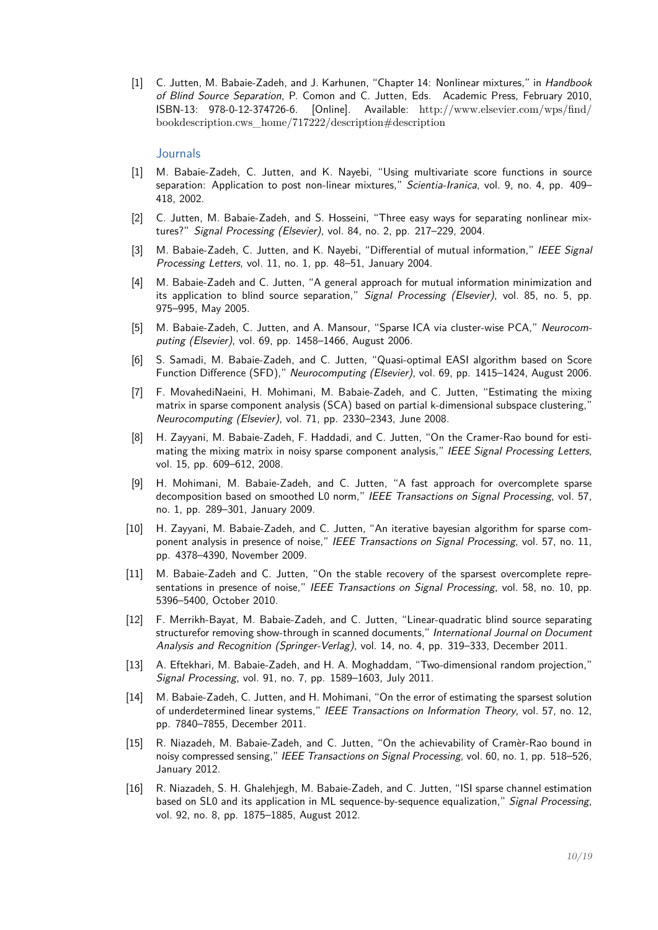[1] C. Jutten, M. Babaie-Zadeh, and J. Karhunen, "Chapter 14: Nonlinear mixtures," in Handbook of Blind Source Separation, P. Comon and C. Jutten, Eds. Academic Press, February 2010, ISBN-13: 978-0-12-374726-6. [Online]. Available: [http://www.elsevier.com/wps/find/](http://www.elsevier.com/wps/find/bookdescription.cws_home/717222/description#description) [bookdescription.cws\\_home/717222/description#description](http://www.elsevier.com/wps/find/bookdescription.cws_home/717222/description#description)

#### **Journals**

- [1] M. Babaie-Zadeh, C. Jutten, and K. Nayebi, "Using multivariate score functions in source separation: Application to post non-linear mixtures," Scientia-Iranica, vol. 9, no. 4, pp. 409-418, 2002.
- [2] C. Jutten, M. Babaie-Zadeh, and S. Hosseini, "Three easy ways for separating nonlinear mixtures?" Signal Processing (Elsevier), vol. 84, no. 2, pp. 217–229, 2004.
- [3] M. Babaie-Zadeh, C. Jutten, and K. Navebi, "Differential of mutual information," IEEE Signal Processing Letters, vol. 11, no. 1, pp. 48–51, January 2004.
- [4] M. Babaie-Zadeh and C. Jutten, "A general approach for mutual information minimization and its application to blind source separation," Signal Processing (Elsevier), vol. 85, no. 5, pp. 975–995, May 2005.
- [5] M. Babaie-Zadeh, C. Jutten, and A. Mansour, "Sparse ICA via cluster-wise PCA," Neurocomputing (Elsevier), vol. 69, pp. 1458–1466, August 2006.
- [6] S. Samadi, M. Babaie-Zadeh, and C. Jutten, "Quasi-optimal EASI algorithm based on Score Function Difference (SFD)," Neurocomputing (Elsevier), vol. 69, pp. 1415–1424, August 2006.
- [7] F. MovahediNaeini, H. Mohimani, M. Babaie-Zadeh, and C. Jutten, "Estimating the mixing matrix in sparse component analysis (SCA) based on partial k-dimensional subspace clustering," Neurocomputing (Elsevier), vol. 71, pp. 2330–2343, June 2008.
- [8] H. Zayyani, M. Babaie-Zadeh, F. Haddadi, and C. Jutten, "On the Cramer-Rao bound for estimating the mixing matrix in noisy sparse component analysis," IEEE Signal Processing Letters, vol. 15, pp. 609–612, 2008.
- [9] H. Mohimani, M. Babaie-Zadeh, and C. Jutten, "A fast approach for overcomplete sparse decomposition based on smoothed L0 norm," IEEE Transactions on Signal Processing, vol. 57, no. 1, pp. 289–301, January 2009.
- [10] H. Zayyani, M. Babaie-Zadeh, and C. Jutten, "An iterative bayesian algorithm for sparse component analysis in presence of noise," IEEE Transactions on Signal Processing, vol. 57, no. 11, pp. 4378–4390, November 2009.
- [11] M. Babaie-Zadeh and C. Jutten, "On the stable recovery of the sparsest overcomplete representations in presence of noise," IEEE Transactions on Signal Processing, vol. 58, no. 10, pp. 5396–5400, October 2010.
- [12] F. Merrikh-Bayat, M. Babaie-Zadeh, and C. Jutten, "Linear-quadratic blind source separating structurefor removing show-through in scanned documents," International Journal on Document Analysis and Recognition (Springer-Verlag), vol. 14, no. 4, pp. 319–333, December 2011.
- [13] A. Eftekhari, M. Babaie-Zadeh, and H. A. Moghaddam, "Two-dimensional random projection," Signal Processing, vol. 91, no. 7, pp. 1589–1603, July 2011.
- [14] M. Babaie-Zadeh, C. Jutten, and H. Mohimani, "On the error of estimating the sparsest solution of underdetermined linear systems," IEEE Transactions on Information Theory, vol. 57, no. 12, pp. 7840–7855, December 2011.
- [15] R. Niazadeh, M. Babaie-Zadeh, and C. Jutten, "On the achievability of Cramèr-Rao bound in noisy compressed sensing," IEEE Transactions on Signal Processing, vol. 60, no. 1, pp. 518–526, January 2012.
- [16] R. Niazadeh, S. H. Ghalehjegh, M. Babaie-Zadeh, and C. Jutten, "ISI sparse channel estimation based on SL0 and its application in ML sequence-by-sequence equalization," Signal Processing, vol. 92, no. 8, pp. 1875–1885, August 2012.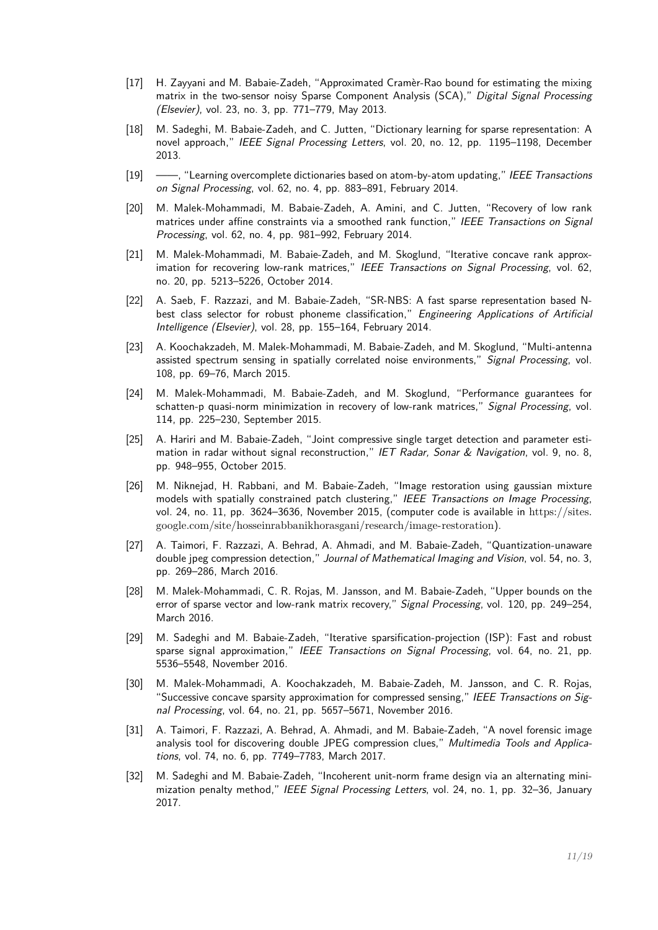- [17] H. Zayyani and M. Babaie-Zadeh, "Approximated Cramèr-Rao bound for estimating the mixing matrix in the two-sensor noisy Sparse Component Analysis (SCA)," Digital Signal Processing (Elsevier), vol. 23, no. 3, pp. 771–779, May 2013.
- [18] M. Sadeghi, M. Babaie-Zadeh, and C. Jutten, "Dictionary learning for sparse representation: A novel approach," IEEE Signal Processing Letters, vol. 20, no. 12, pp. 1195-1198, December 2013.
- [19] ——, "Learning overcomplete dictionaries based on atom-by-atom updating," IEEE Transactions on Signal Processing, vol. 62, no. 4, pp. 883–891, February 2014.
- [20] M. Malek-Mohammadi, M. Babaie-Zadeh, A. Amini, and C. Jutten, "Recovery of low rank matrices under affine constraints via a smoothed rank function," IEEE Transactions on Signal Processing, vol. 62, no. 4, pp. 981–992, February 2014.
- [21] M. Malek-Mohammadi, M. Babaie-Zadeh, and M. Skoglund, "Iterative concave rank approximation for recovering low-rank matrices," IEEE Transactions on Signal Processing, vol. 62, no. 20, pp. 5213–5226, October 2014.
- [22] A. Saeb, F. Razzazi, and M. Babaie-Zadeh, "SR-NBS: A fast sparse representation based Nbest class selector for robust phoneme classification," Engineering Applications of Artificial Intelligence (Elsevier), vol. 28, pp. 155–164, February 2014.
- [23] A. Koochakzadeh, M. Malek-Mohammadi, M. Babaie-Zadeh, and M. Skoglund, "Multi-antenna assisted spectrum sensing in spatially correlated noise environments," Signal Processing, vol. 108, pp. 69–76, March 2015.
- [24] M. Malek-Mohammadi, M. Babaie-Zadeh, and M. Skoglund, "Performance guarantees for schatten-p quasi-norm minimization in recovery of low-rank matrices," Signal Processing, vol. 114, pp. 225–230, September 2015.
- [25] A. Hariri and M. Babaie-Zadeh, "Joint compressive single target detection and parameter estimation in radar without signal reconstruction," IET Radar, Sonar & Navigation, vol. 9, no. 8, pp. 948–955, October 2015.
- [26] M. Niknejad, H. Rabbani, and M. Babaie-Zadeh, "Image restoration using gaussian mixture models with spatially constrained patch clustering," IEEE Transactions on Image Processing, vol. 24, no. 11, pp. 3624–3636, November 2015, (computer code is available in [https://sites.](https://sites.google.com/site/hosseinrabbanikhorasgani/research/image-restoration) [google.com/site/hosseinrabbanikhorasgani/research/image-restoration](https://sites.google.com/site/hosseinrabbanikhorasgani/research/image-restoration)).
- [27] A. Taimori, F. Razzazi, A. Behrad, A. Ahmadi, and M. Babaie-Zadeh, "Quantization-unaware double jpeg compression detection," Journal of Mathematical Imaging and Vision, vol. 54, no. 3, pp. 269–286, March 2016.
- [28] M. Malek-Mohammadi, C. R. Rojas, M. Jansson, and M. Babaie-Zadeh, "Upper bounds on the error of sparse vector and low-rank matrix recovery," Signal Processing, vol. 120, pp. 249-254, March 2016.
- [29] M. Sadeghi and M. Babaie-Zadeh, "Iterative sparsification-projection (ISP): Fast and robust sparse signal approximation," IEEE Transactions on Signal Processing, vol. 64, no. 21, pp. 5536–5548, November 2016.
- [30] M. Malek-Mohammadi, A. Koochakzadeh, M. Babaie-Zadeh, M. Jansson, and C. R. Rojas, "Successive concave sparsity approximation for compressed sensing," IEEE Transactions on Signal Processing, vol. 64, no. 21, pp. 5657–5671, November 2016.
- [31] A. Taimori, F. Razzazi, A. Behrad, A. Ahmadi, and M. Babaie-Zadeh, "A novel forensic image analysis tool for discovering double JPEG compression clues," Multimedia Tools and Applications, vol. 74, no. 6, pp. 7749–7783, March 2017.
- [32] M. Sadeghi and M. Babaie-Zadeh, "Incoherent unit-norm frame design via an alternating minimization penalty method," IEEE Signal Processing Letters, vol. 24, no. 1, pp. 32-36, January 2017.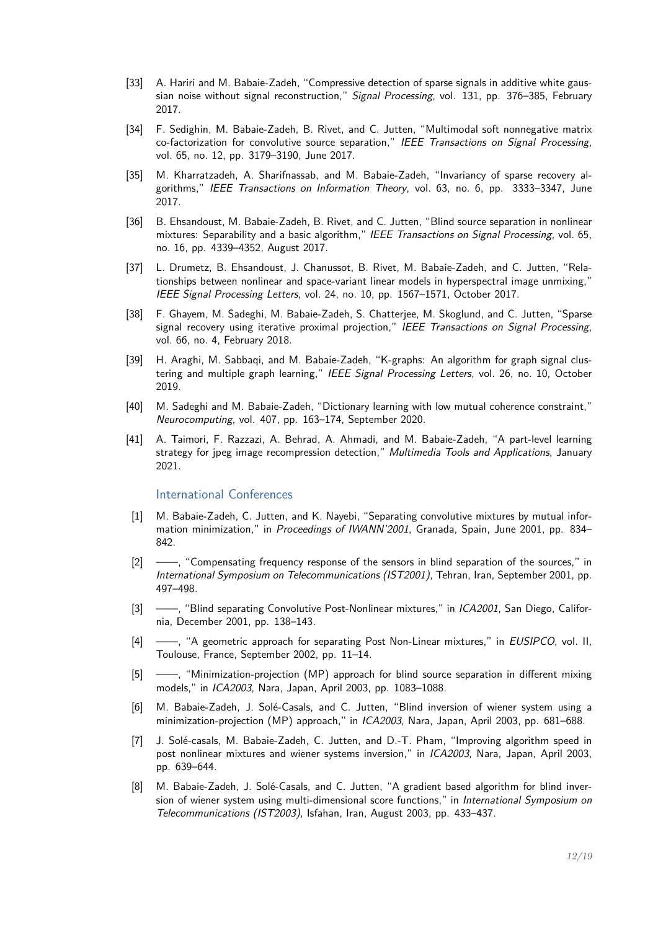- [33] A. Hariri and M. Babaie-Zadeh, "Compressive detection of sparse signals in additive white gaussian noise without signal reconstruction." Signal Processing, vol. 131, pp. 376–385, February 2017.
- [34] F. Sedighin, M. Babaie-Zadeh, B. Rivet, and C. Jutten, "Multimodal soft nonnegative matrix co-factorization for convolutive source separation," IEEE Transactions on Signal Processing, vol. 65, no. 12, pp. 3179–3190, June 2017.
- [35] M. Kharratzadeh, A. Sharifnassab, and M. Babaie-Zadeh, "Invariancy of sparse recovery algorithms," IEEE Transactions on Information Theory, vol. 63, no. 6, pp. 3333–3347, June 2017.
- [36] B. Ehsandoust, M. Babaie-Zadeh, B. Rivet, and C. Jutten, "Blind source separation in nonlinear mixtures: Separability and a basic algorithm," IEEE Transactions on Signal Processing, vol. 65, no. 16, pp. 4339–4352, August 2017.
- [37] L. Drumetz, B. Ehsandoust, J. Chanussot, B. Rivet, M. Babaie-Zadeh, and C. Jutten, "Relationships between nonlinear and space-variant linear models in hyperspectral image unmixing," IEEE Signal Processing Letters, vol. 24, no. 10, pp. 1567–1571, October 2017.
- [38] F. Ghayem, M. Sadeghi, M. Babaie-Zadeh, S. Chatterjee, M. Skoglund, and C. Jutten, "Sparse signal recovery using iterative proximal projection," IEEE Transactions on Signal Processing, vol. 66, no. 4, February 2018.
- [39] H. Araghi, M. Sabbaqi, and M. Babaie-Zadeh, "K-graphs: An algorithm for graph signal clustering and multiple graph learning," IEEE Signal Processing Letters, vol. 26, no. 10, October 2019.
- [40] M. Sadeghi and M. Babaie-Zadeh, "Dictionary learning with low mutual coherence constraint," Neurocomputing, vol. 407, pp. 163–174, September 2020.
- [41] A. Taimori, F. Razzazi, A. Behrad, A. Ahmadi, and M. Babaie-Zadeh, "A part-level learning strategy for jpeg image recompression detection," Multimedia Tools and Applications, January 2021.

International Conferences

- [1] M. Babaie-Zadeh, C. Jutten, and K. Nayebi, "Separating convolutive mixtures by mutual information minimization," in Proceedings of IWANN'2001, Granada, Spain, June 2001, pp. 834-842.
- [2] ——, "Compensating frequency response of the sensors in blind separation of the sources," in International Symposium on Telecommunications (IST2001), Tehran, Iran, September 2001, pp. 497–498.
- [3] -- , "Blind separating Convolutive Post-Nonlinear mixtures," in ICA2001, San Diego, California, December 2001, pp. 138–143.
- [4] ——, "A geometric approach for separating Post Non-Linear mixtures," in *EUSIPCO*, vol. II, Toulouse, France, September 2002, pp. 11–14.
- [5] ——, "Minimization-projection (MP) approach for blind source separation in different mixing models," in ICA2003, Nara, Japan, April 2003, pp. 1083–1088.
- [6] M. Babaie-Zadeh, J. Solé-Casals, and C. Jutten, "Blind inversion of wiener system using a minimization-projection (MP) approach," in ICA2003, Nara, Japan, April 2003, pp. 681–688.
- [7] J. Solé-casals, M. Babaie-Zadeh, C. Jutten, and D.-T. Pham, "Improving algorithm speed in post nonlinear mixtures and wiener systems inversion," in ICA2003, Nara, Japan, April 2003, pp. 639–644.
- [8] M. Babaie-Zadeh, J. Solé-Casals, and C. Jutten, "A gradient based algorithm for blind inversion of wiener system using multi-dimensional score functions," in International Symposium on Telecommunications (IST2003), Isfahan, Iran, August 2003, pp. 433–437.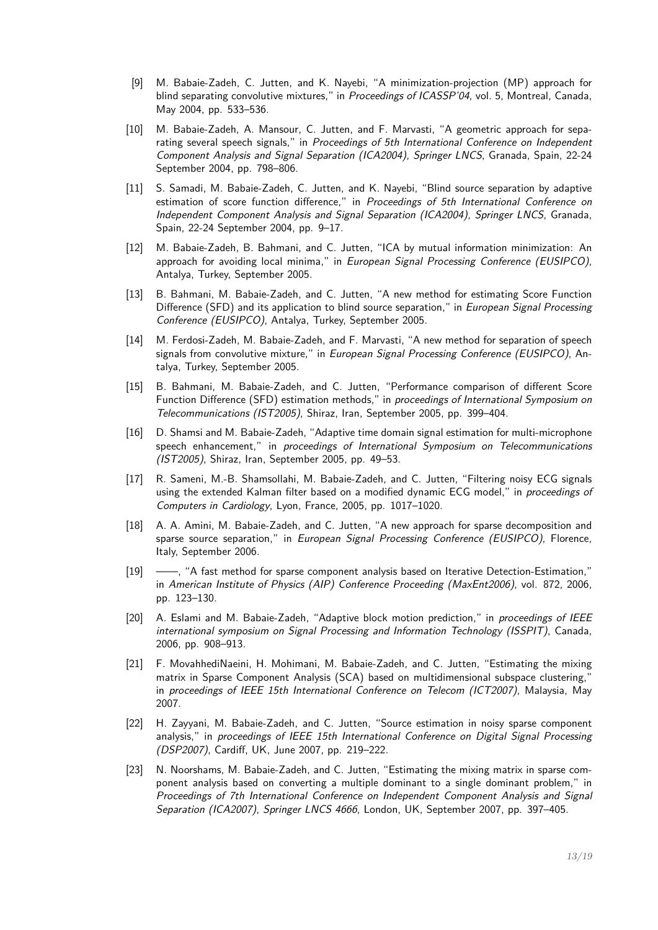- [9] M. Babaie-Zadeh, C. Jutten, and K. Nayebi, "A minimization-projection (MP) approach for blind separating convolutive mixtures." in Proceedings of ICASSP'04, vol. 5, Montreal, Canada, May 2004, pp. 533–536.
- [10] M. Babaie-Zadeh, A. Mansour, C. Jutten, and F. Marvasti, "A geometric approach for separating several speech signals," in Proceedings of 5th International Conference on Independent Component Analysis and Signal Separation (ICA2004), Springer LNCS, Granada, Spain, 22-24 September 2004, pp. 798–806.
- [11] S. Samadi, M. Babaie-Zadeh, C. Jutten, and K. Nayebi, "Blind source separation by adaptive estimation of score function difference," in Proceedings of 5th International Conference on Independent Component Analysis and Signal Separation (ICA2004), Springer LNCS, Granada, Spain, 22-24 September 2004, pp. 9–17.
- [12] M. Babaie-Zadeh, B. Bahmani, and C. Jutten, "ICA by mutual information minimization: An approach for avoiding local minima," in European Signal Processing Conference (EUSIPCO), Antalya, Turkey, September 2005.
- [13] B. Bahmani, M. Babaie-Zadeh, and C. Jutten, "A new method for estimating Score Function Difference (SFD) and its application to blind source separation," in European Signal Processing Conference (EUSIPCO), Antalya, Turkey, September 2005.
- [14] M. Ferdosi-Zadeh, M. Babaie-Zadeh, and F. Marvasti, "A new method for separation of speech signals from convolutive mixture," in European Signal Processing Conference (EUSIPCO), Antalya, Turkey, September 2005.
- [15] B. Bahmani, M. Babaie-Zadeh, and C. Jutten, "Performance comparison of different Score Function Difference (SFD) estimation methods," in proceedings of International Symposium on Telecommunications (IST2005), Shiraz, Iran, September 2005, pp. 399–404.
- [16] D. Shamsi and M. Babaie-Zadeh, "Adaptive time domain signal estimation for multi-microphone speech enhancement," in proceedings of International Symposium on Telecommunications (IST2005), Shiraz, Iran, September 2005, pp. 49–53.
- [17] R. Sameni, M.-B. Shamsollahi, M. Babaie-Zadeh, and C. Jutten, "Filtering noisy ECG signals using the extended Kalman filter based on a modified dynamic ECG model," in *proceedings of* Computers in Cardiology, Lyon, France, 2005, pp. 1017–1020.
- [18] A. A. Amini, M. Babaie-Zadeh, and C. Jutten, "A new approach for sparse decomposition and sparse source separation," in European Signal Processing Conference (EUSIPCO), Florence, Italy, September 2006.
- [19] ——, "A fast method for sparse component analysis based on Iterative Detection-Estimation," in American Institute of Physics (AIP) Conference Proceeding (MaxEnt2006), vol. 872, 2006, pp. 123–130.
- [20] A. Eslami and M. Babaie-Zadeh, "Adaptive block motion prediction," in proceedings of IEEE international symposium on Signal Processing and Information Technology (ISSPIT), Canada, 2006, pp. 908–913.
- [21] F. MovahhediNaeini, H. Mohimani, M. Babaie-Zadeh, and C. Jutten, "Estimating the mixing matrix in Sparse Component Analysis (SCA) based on multidimensional subspace clustering," in proceedings of IEEE 15th International Conference on Telecom (ICT2007), Malaysia, May 2007.
- [22] H. Zayyani, M. Babaie-Zadeh, and C. Jutten, "Source estimation in noisy sparse component analysis," in proceedings of IEEE 15th International Conference on Digital Signal Processing (DSP2007), Cardiff, UK, June 2007, pp. 219–222.
- [23] N. Noorshams, M. Babaie-Zadeh, and C. Jutten, "Estimating the mixing matrix in sparse component analysis based on converting a multiple dominant to a single dominant problem," in Proceedings of 7th International Conference on Independent Component Analysis and Signal Separation (ICA2007), Springer LNCS 4666, London, UK, September 2007, pp. 397–405.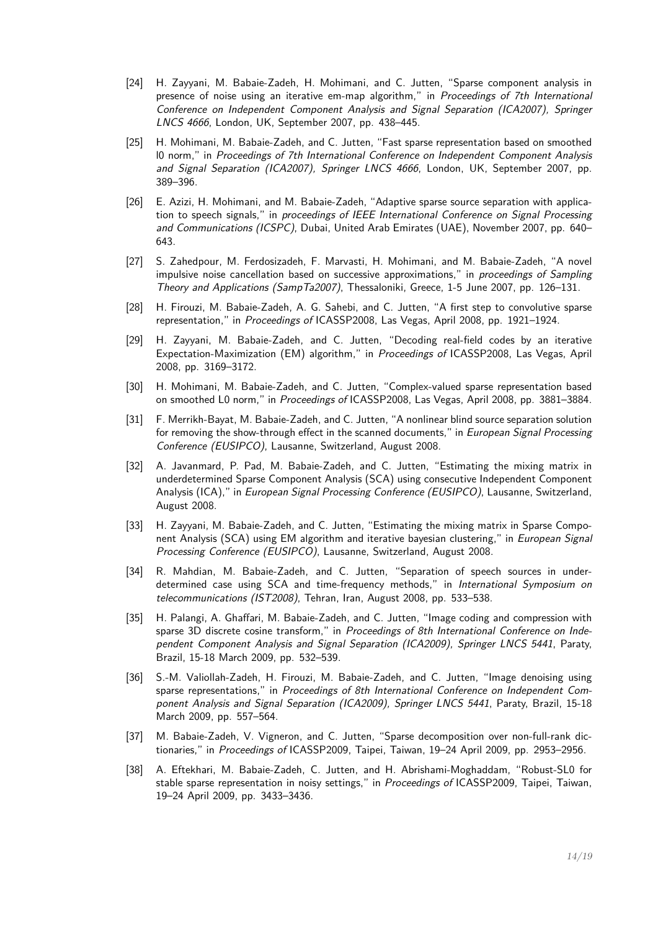- [24] H. Zayyani, M. Babaie-Zadeh, H. Mohimani, and C. Jutten, "Sparse component analysis in presence of noise using an iterative em-map algorithm," in Proceedings of 7th International Conference on Independent Component Analysis and Signal Separation (ICA2007), Springer LNCS 4666, London, UK, September 2007, pp. 438–445.
- [25] H. Mohimani, M. Babaie-Zadeh, and C. Jutten, "Fast sparse representation based on smoothed l0 norm," in Proceedings of 7th International Conference on Independent Component Analysis and Signal Separation (ICA2007), Springer LNCS 4666, London, UK, September 2007, pp. 389–396.
- [26] E. Azizi, H. Mohimani, and M. Babaie-Zadeh, "Adaptive sparse source separation with application to speech signals," in proceedings of IEEE International Conference on Signal Processing and Communications (ICSPC), Dubai, United Arab Emirates (UAE), November 2007, pp. 640– 643.
- [27] S. Zahedpour, M. Ferdosizadeh, F. Marvasti, H. Mohimani, and M. Babaie-Zadeh, "A novel impulsive noise cancellation based on successive approximations," in *proceedings of Sampling* Theory and Applications (SampTa2007), Thessaloniki, Greece, 1-5 June 2007, pp. 126–131.
- [28] H. Firouzi, M. Babaie-Zadeh, A. G. Sahebi, and C. Jutten, "A first step to convolutive sparse representation," in Proceedings of ICASSP2008, Las Vegas, April 2008, pp. 1921–1924.
- [29] H. Zayyani, M. Babaie-Zadeh, and C. Jutten, "Decoding real-field codes by an iterative Expectation-Maximization (EM) algorithm," in Proceedings of ICASSP2008, Las Vegas, April 2008, pp. 3169–3172.
- [30] H. Mohimani, M. Babaie-Zadeh, and C. Jutten, "Complex-valued sparse representation based on smoothed L0 norm," in Proceedings of ICASSP2008, Las Vegas, April 2008, pp. 3881–3884.
- [31] F. Merrikh-Bayat, M. Babaie-Zadeh, and C. Jutten, "A nonlinear blind source separation solution for removing the show-through effect in the scanned documents," in European Signal Processing Conference (EUSIPCO), Lausanne, Switzerland, August 2008.
- [32] A. Javanmard, P. Pad, M. Babaie-Zadeh, and C. Jutten, "Estimating the mixing matrix in underdetermined Sparse Component Analysis (SCA) using consecutive Independent Component Analysis (ICA)," in European Signal Processing Conference (EUSIPCO), Lausanne, Switzerland, August 2008.
- [33] H. Zayyani, M. Babaie-Zadeh, and C. Jutten, "Estimating the mixing matrix in Sparse Component Analysis (SCA) using EM algorithm and iterative bayesian clustering," in *European Signal* Processing Conference (EUSIPCO), Lausanne, Switzerland, August 2008.
- [34] R. Mahdian, M. Babaie-Zadeh, and C. Jutten, "Separation of speech sources in underdetermined case using SCA and time-frequency methods," in International Symposium on telecommunications (IST2008), Tehran, Iran, August 2008, pp. 533–538.
- [35] H. Palangi, A. Ghaffari, M. Babaie-Zadeh, and C. Jutten, "Image coding and compression with sparse 3D discrete cosine transform," in Proceedings of 8th International Conference on Independent Component Analysis and Signal Separation (ICA2009), Springer LNCS 5441, Paraty, Brazil, 15-18 March 2009, pp. 532–539.
- [36] S.-M. Valiollah-Zadeh, H. Firouzi, M. Babaie-Zadeh, and C. Jutten, "Image denoising using sparse representations," in Proceedings of 8th International Conference on Independent Component Analysis and Signal Separation (ICA2009), Springer LNCS 5441, Paraty, Brazil, 15-18 March 2009, pp. 557–564.
- [37] M. Babaie-Zadeh, V. Vigneron, and C. Jutten, "Sparse decomposition over non-full-rank dictionaries," in Proceedings of ICASSP2009, Taipei, Taiwan, 19-24 April 2009, pp. 2953-2956.
- [38] A. Eftekhari, M. Babaie-Zadeh, C. Jutten, and H. Abrishami-Moghaddam, "Robust-SL0 for stable sparse representation in noisy settings," in Proceedings of ICASSP2009, Taipei, Taiwan, 19–24 April 2009, pp. 3433–3436.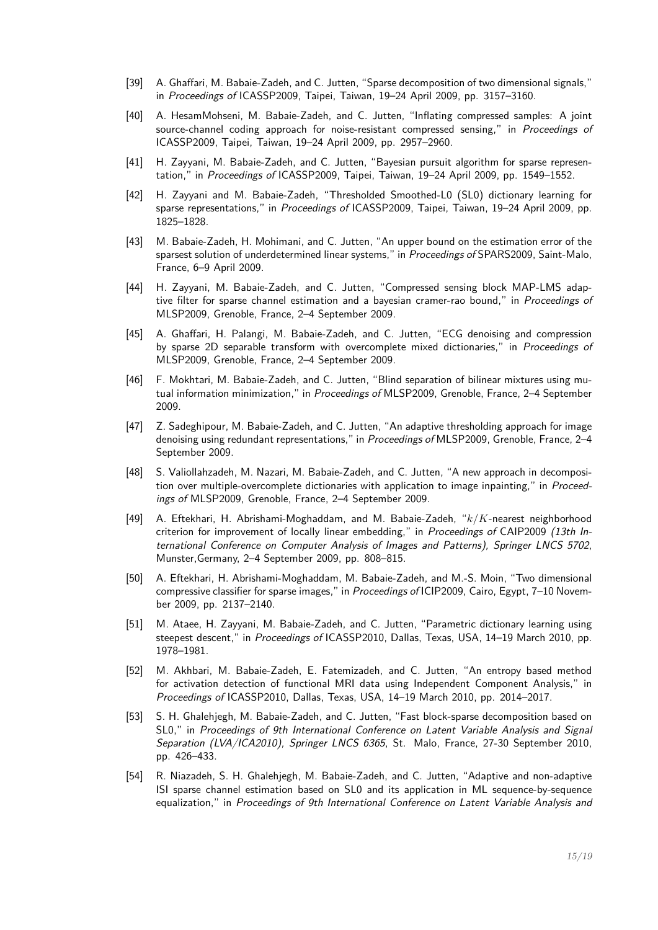- [39] A. Ghaffari, M. Babaie-Zadeh, and C. Jutten, "Sparse decomposition of two dimensional signals," in Proceedings of ICASSP2009, Taipei, Taiwan, 19–24 April 2009, pp. 3157–3160.
- [40] A. HesamMohseni, M. Babaie-Zadeh, and C. Jutten, "Inflating compressed samples: A joint source-channel coding approach for noise-resistant compressed sensing." in Proceedings of ICASSP2009, Taipei, Taiwan, 19–24 April 2009, pp. 2957–2960.
- [41] H. Zayyani, M. Babaie-Zadeh, and C. Jutten, "Bayesian pursuit algorithm for sparse representation," in Proceedings of ICASSP2009, Taipei, Taiwan, 19-24 April 2009, pp. 1549-1552.
- [42] H. Zayyani and M. Babaie-Zadeh, "Thresholded Smoothed-L0 (SL0) dictionary learning for sparse representations," in Proceedings of ICASSP2009, Taipei, Taiwan, 19-24 April 2009, pp. 1825–1828.
- [43] M. Babaie-Zadeh, H. Mohimani, and C. Jutten, "An upper bound on the estimation error of the sparsest solution of underdetermined linear systems," in Proceedings of SPARS2009, Saint-Malo, France, 6–9 April 2009.
- [44] H. Zayyani, M. Babaie-Zadeh, and C. Jutten, "Compressed sensing block MAP-LMS adaptive filter for sparse channel estimation and a bayesian cramer-rao bound," in Proceedings of MLSP2009, Grenoble, France, 2–4 September 2009.
- [45] A. Ghaffari, H. Palangi, M. Babaie-Zadeh, and C. Jutten, "ECG denoising and compression by sparse 2D separable transform with overcomplete mixed dictionaries." in Proceedings of MLSP2009, Grenoble, France, 2–4 September 2009.
- [46] F. Mokhtari, M. Babaie-Zadeh, and C. Jutten, "Blind separation of bilinear mixtures using mutual information minimization," in Proceedings of MLSP2009, Grenoble, France, 2-4 September 2009.
- [47] Z. Sadeghipour, M. Babaie-Zadeh, and C. Jutten, "An adaptive thresholding approach for image denoising using redundant representations," in Proceedings of MLSP2009, Grenoble, France, 2-4 September 2009.
- [48] S. Valiollahzadeh, M. Nazari, M. Babaie-Zadeh, and C. Jutten, "A new approach in decomposition over multiple-overcomplete dictionaries with application to image inpainting," in Proceedings of MLSP2009, Grenoble, France, 2–4 September 2009.
- [49] A. Eftekhari, H. Abrishami-Moghaddam, and M. Babaie-Zadeh, "*k/K*-nearest neighborhood criterion for improvement of locally linear embedding," in Proceedings of CAIP2009 (13th International Conference on Computer Analysis of Images and Patterns), Springer LNCS 5702, Munster,Germany, 2–4 September 2009, pp. 808–815.
- [50] A. Eftekhari, H. Abrishami-Moghaddam, M. Babaie-Zadeh, and M.-S. Moin, "Two dimensional compressive classifier for sparse images," in Proceedings of ICIP2009, Cairo, Egypt, 7–10 November 2009, pp. 2137–2140.
- [51] M. Ataee, H. Zayyani, M. Babaie-Zadeh, and C. Jutten, "Parametric dictionary learning using steepest descent," in Proceedings of ICASSP2010, Dallas, Texas, USA, 14–19 March 2010, pp. 1978–1981.
- [52] M. Akhbari, M. Babaie-Zadeh, E. Fatemizadeh, and C. Jutten, "An entropy based method for activation detection of functional MRI data using Independent Component Analysis," in Proceedings of ICASSP2010, Dallas, Texas, USA, 14–19 March 2010, pp. 2014–2017.
- [53] S. H. Ghalehjegh, M. Babaie-Zadeh, and C. Jutten, "Fast block-sparse decomposition based on SL0," in Proceedings of 9th International Conference on Latent Variable Analysis and Signal Separation (LVA/ICA2010), Springer LNCS 6365, St. Malo, France, 27-30 September 2010, pp. 426–433.
- [54] R. Niazadeh, S. H. Ghalehjegh, M. Babaie-Zadeh, and C. Jutten, "Adaptive and non-adaptive ISI sparse channel estimation based on SL0 and its application in ML sequence-by-sequence equalization," in Proceedings of 9th International Conference on Latent Variable Analysis and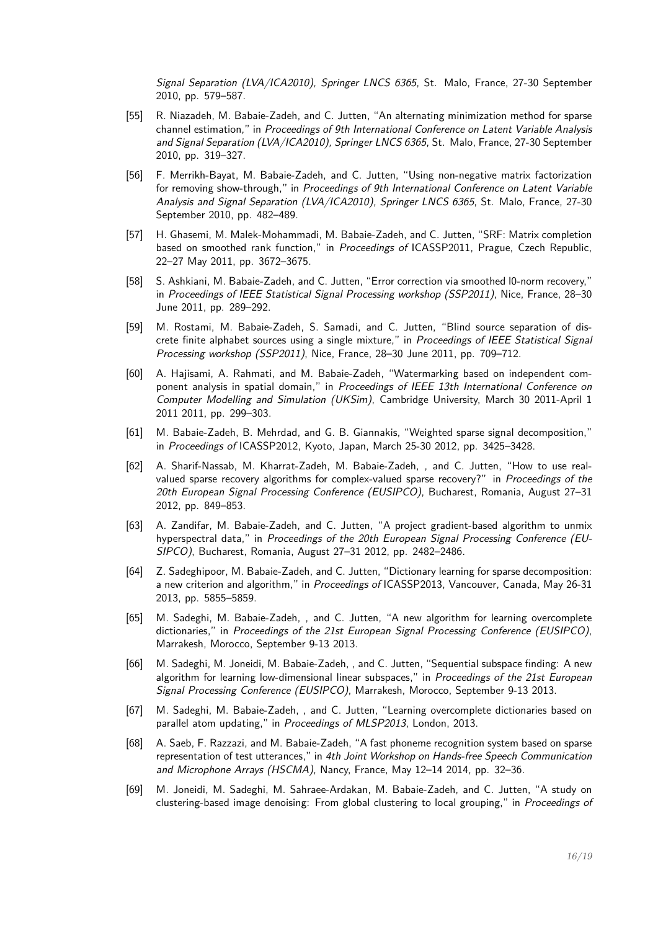Signal Separation (LVA/ICA2010), Springer LNCS 6365, St. Malo, France, 27-30 September 2010, pp. 579–587.

- [55] R. Niazadeh, M. Babaie-Zadeh, and C. Jutten, "An alternating minimization method for sparse channel estimation," in Proceedings of 9th International Conference on Latent Variable Analysis and Signal Separation (LVA/ICA2010), Springer LNCS 6365, St. Malo, France, 27-30 September 2010, pp. 319–327.
- [56] F. Merrikh-Bayat, M. Babaie-Zadeh, and C. Jutten, "Using non-negative matrix factorization for removing show-through," in Proceedings of 9th International Conference on Latent Variable Analysis and Signal Separation (LVA/ICA2010), Springer LNCS 6365, St. Malo, France, 27-30 September 2010, pp. 482–489.
- [57] H. Ghasemi, M. Malek-Mohammadi, M. Babaie-Zadeh, and C. Jutten, "SRF: Matrix completion based on smoothed rank function," in Proceedings of ICASSP2011, Prague, Czech Republic, 22–27 May 2011, pp. 3672–3675.
- [58] S. Ashkiani, M. Babaie-Zadeh, and C. Jutten, "Error correction via smoothed l0-norm recovery," in Proceedings of IEEE Statistical Signal Processing workshop (SSP2011), Nice, France, 28-30 June 2011, pp. 289–292.
- [59] M. Rostami, M. Babaie-Zadeh, S. Samadi, and C. Jutten, "Blind source separation of discrete finite alphabet sources using a single mixture," in Proceedings of IEEE Statistical Signal Processing workshop (SSP2011), Nice, France, 28–30 June 2011, pp. 709–712.
- [60] A. Hajisami, A. Rahmati, and M. Babaie-Zadeh, "Watermarking based on independent component analysis in spatial domain," in Proceedings of IEEE 13th International Conference on Computer Modelling and Simulation (UKSim), Cambridge University, March 30 2011-April 1 2011 2011, pp. 299–303.
- [61] M. Babaie-Zadeh, B. Mehrdad, and G. B. Giannakis, "Weighted sparse signal decomposition," in Proceedings of ICASSP2012, Kyoto, Japan, March 25-30 2012, pp. 3425–3428.
- [62] A. Sharif-Nassab, M. Kharrat-Zadeh, M. Babaie-Zadeh, , and C. Jutten, "How to use realvalued sparse recovery algorithms for complex-valued sparse recovery?" in Proceedings of the 20th European Signal Processing Conference (EUSIPCO), Bucharest, Romania, August 27–31 2012, pp. 849–853.
- [63] A. Zandifar, M. Babaie-Zadeh, and C. Jutten, "A project gradient-based algorithm to unmix hyperspectral data," in Proceedings of the 20th European Signal Processing Conference (EU-SIPCO), Bucharest, Romania, August 27–31 2012, pp. 2482–2486.
- [64] Z. Sadeghipoor, M. Babaie-Zadeh, and C. Jutten, "Dictionary learning for sparse decomposition: a new criterion and algorithm," in Proceedings of ICASSP2013, Vancouver, Canada, May 26-31 2013, pp. 5855–5859.
- [65] M. Sadeghi, M. Babaie-Zadeh, , and C. Jutten, "A new algorithm for learning overcomplete dictionaries," in Proceedings of the 21st European Signal Processing Conference (EUSIPCO), Marrakesh, Morocco, September 9-13 2013.
- [66] M. Sadeghi, M. Joneidi, M. Babaie-Zadeh, , and C. Jutten, "Sequential subspace finding: A new algorithm for learning low-dimensional linear subspaces," in Proceedings of the 21st European Signal Processing Conference (EUSIPCO), Marrakesh, Morocco, September 9-13 2013.
- [67] M. Sadeghi, M. Babaie-Zadeh, , and C. Jutten, "Learning overcomplete dictionaries based on parallel atom updating," in Proceedings of MLSP2013, London, 2013.
- [68] A. Saeb, F. Razzazi, and M. Babaie-Zadeh, "A fast phoneme recognition system based on sparse representation of test utterances," in 4th Joint Workshop on Hands-free Speech Communication and Microphone Arrays (HSCMA), Nancy, France, May 12–14 2014, pp. 32–36.
- [69] M. Joneidi, M. Sadeghi, M. Sahraee-Ardakan, M. Babaie-Zadeh, and C. Jutten, "A study on clustering-based image denoising: From global clustering to local grouping," in Proceedings of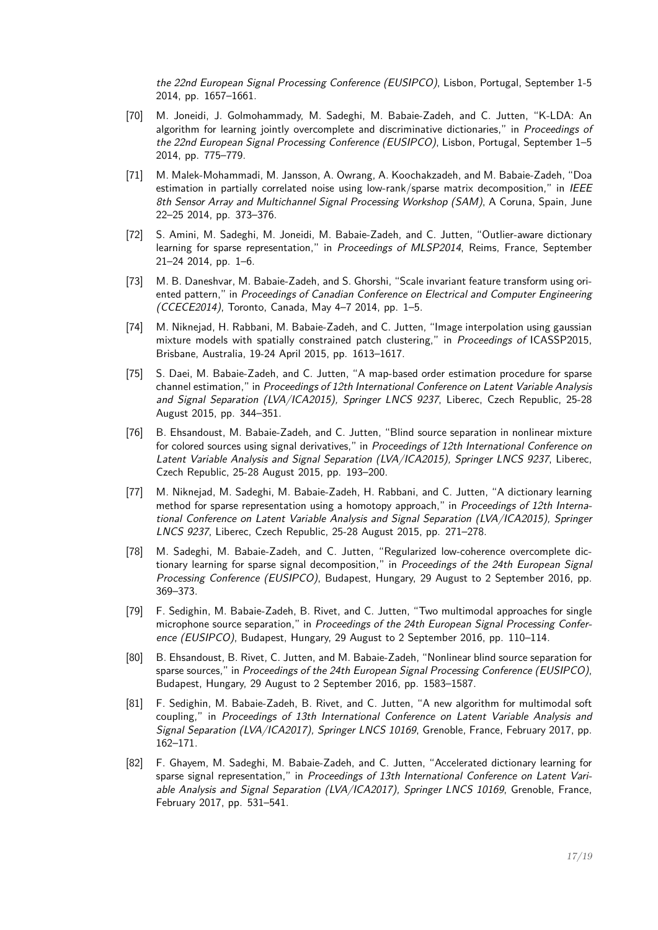the 22nd European Signal Processing Conference (EUSIPCO), Lisbon, Portugal, September 1-5 2014, pp. 1657–1661.

- [70] M. Joneidi, J. Golmohammady, M. Sadeghi, M. Babaie-Zadeh, and C. Jutten, "K-LDA: An algorithm for learning jointly overcomplete and discriminative dictionaries." in Proceedings of the 22nd European Signal Processing Conference (EUSIPCO), Lisbon, Portugal, September 1–5 2014, pp. 775–779.
- [71] M. Malek-Mohammadi, M. Jansson, A. Owrang, A. Koochakzadeh, and M. Babaie-Zadeh, "Doa estimation in partially correlated noise using low-rank/sparse matrix decomposition," in IEEE 8th Sensor Array and Multichannel Signal Processing Workshop (SAM), A Coruna, Spain, June 22–25 2014, pp. 373–376.
- [72] S. Amini, M. Sadeghi, M. Joneidi, M. Babaie-Zadeh, and C. Jutten, "Outlier-aware dictionary learning for sparse representation," in Proceedings of MLSP2014, Reims, France, September 21–24 2014, pp. 1–6.
- [73] M. B. Daneshvar, M. Babaie-Zadeh, and S. Ghorshi, "Scale invariant feature transform using oriented pattern," in Proceedings of Canadian Conference on Electrical and Computer Engineering (CCECE2014), Toronto, Canada, May 4–7 2014, pp. 1–5.
- [74] M. Niknejad, H. Rabbani, M. Babaie-Zadeh, and C. Jutten, "Image interpolation using gaussian mixture models with spatially constrained patch clustering," in Proceedings of ICASSP2015, Brisbane, Australia, 19-24 April 2015, pp. 1613–1617.
- [75] S. Daei, M. Babaie-Zadeh, and C. Jutten, "A map-based order estimation procedure for sparse channel estimation," in Proceedings of 12th International Conference on Latent Variable Analysis and Signal Separation (LVA/ICA2015), Springer LNCS 9237, Liberec, Czech Republic, 25-28 August 2015, pp. 344–351.
- [76] B. Ehsandoust, M. Babaie-Zadeh, and C. Jutten, "Blind source separation in nonlinear mixture for colored sources using signal derivatives," in Proceedings of 12th International Conference on Latent Variable Analysis and Signal Separation (LVA/ICA2015), Springer LNCS 9237, Liberec, Czech Republic, 25-28 August 2015, pp. 193–200.
- [77] M. Niknejad, M. Sadeghi, M. Babaie-Zadeh, H. Rabbani, and C. Jutten, "A dictionary learning method for sparse representation using a homotopy approach," in Proceedings of 12th International Conference on Latent Variable Analysis and Signal Separation (LVA/ICA2015), Springer LNCS 9237, Liberec, Czech Republic, 25-28 August 2015, pp. 271–278.
- [78] M. Sadeghi, M. Babaie-Zadeh, and C. Jutten, "Regularized low-coherence overcomplete dictionary learning for sparse signal decomposition," in Proceedings of the 24th European Signal Processing Conference (EUSIPCO), Budapest, Hungary, 29 August to 2 September 2016, pp. 369–373.
- [79] F. Sedighin, M. Babaie-Zadeh, B. Rivet, and C. Jutten, "Two multimodal approaches for single microphone source separation," in Proceedings of the 24th European Signal Processing Conference (EUSIPCO), Budapest, Hungary, 29 August to 2 September 2016, pp. 110–114.
- [80] B. Ehsandoust, B. Rivet, C. Jutten, and M. Babaie-Zadeh, "Nonlinear blind source separation for sparse sources," in Proceedings of the 24th European Signal Processing Conference (EUSIPCO), Budapest, Hungary, 29 August to 2 September 2016, pp. 1583–1587.
- [81] F. Sedighin, M. Babaie-Zadeh, B. Rivet, and C. Jutten, "A new algorithm for multimodal soft coupling," in Proceedings of 13th International Conference on Latent Variable Analysis and Signal Separation (LVA/ICA2017), Springer LNCS 10169, Grenoble, France, February 2017, pp. 162–171.
- [82] F. Ghayem, M. Sadeghi, M. Babaie-Zadeh, and C. Jutten, "Accelerated dictionary learning for sparse signal representation," in Proceedings of 13th International Conference on Latent Variable Analysis and Signal Separation (LVA/ICA2017), Springer LNCS 10169, Grenoble, France, February 2017, pp. 531–541.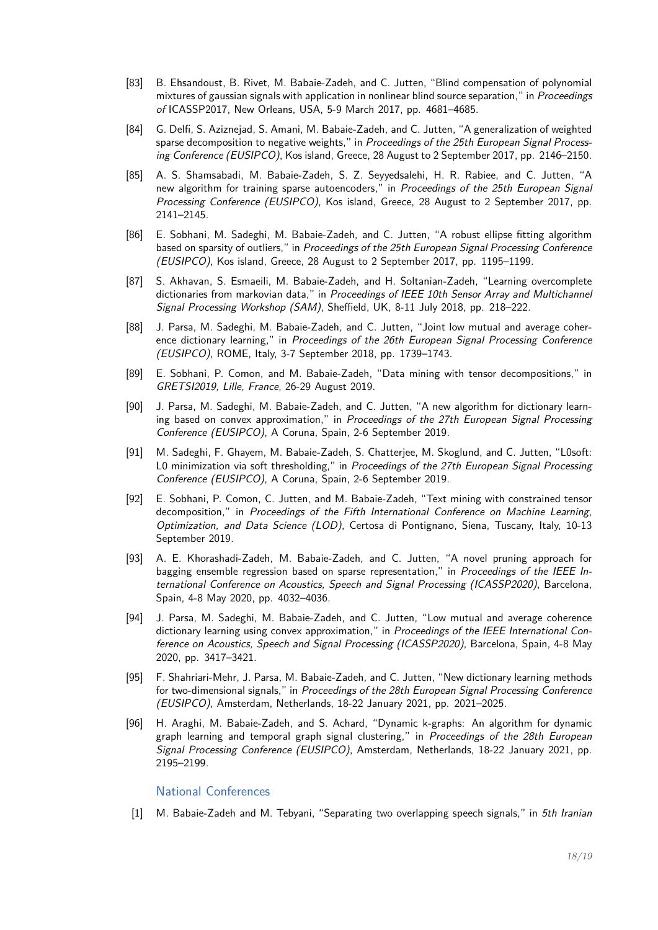- [83] B. Ehsandoust, B. Rivet, M. Babaie-Zadeh, and C. Jutten, "Blind compensation of polynomial mixtures of gaussian signals with application in nonlinear blind source separation." in *Proceedings* of ICASSP2017, New Orleans, USA, 5-9 March 2017, pp. 4681–4685.
- [84] G. Delfi, S. Aziznejad, S. Amani, M. Babaie-Zadeh, and C. Jutten, "A generalization of weighted sparse decomposition to negative weights," in Proceedings of the 25th European Signal Processing Conference (EUSIPCO), Kos island, Greece, 28 August to 2 September 2017, pp. 2146–2150.
- [85] A. S. Shamsabadi, M. Babaie-Zadeh, S. Z. Seyyedsalehi, H. R. Rabiee, and C. Jutten, "A new algorithm for training sparse autoencoders," in Proceedings of the 25th European Signal Processing Conference (EUSIPCO), Kos island, Greece, 28 August to 2 September 2017, pp. 2141–2145.
- [86] E. Sobhani, M. Sadeghi, M. Babaie-Zadeh, and C. Jutten, "A robust ellipse fitting algorithm based on sparsity of outliers," in Proceedings of the 25th European Signal Processing Conference (EUSIPCO), Kos island, Greece, 28 August to 2 September 2017, pp. 1195–1199.
- [87] S. Akhavan, S. Esmaeili, M. Babaie-Zadeh, and H. Soltanian-Zadeh, "Learning overcomplete dictionaries from markovian data," in Proceedings of IEEE 10th Sensor Array and Multichannel Signal Processing Workshop (SAM), Sheffield, UK, 8-11 July 2018, pp. 218–222.
- [88] J. Parsa, M. Sadeghi, M. Babaie-Zadeh, and C. Jutten, "Joint low mutual and average coherence dictionary learning," in Proceedings of the 26th European Signal Processing Conference (EUSIPCO), ROME, Italy, 3-7 September 2018, pp. 1739–1743.
- [89] E. Sobhani, P. Comon, and M. Babaie-Zadeh, "Data mining with tensor decompositions," in GRETSI2019, Lille, France, 26-29 August 2019.
- [90] J. Parsa, M. Sadeghi, M. Babaie-Zadeh, and C. Jutten, "A new algorithm for dictionary learning based on convex approximation," in Proceedings of the 27th European Signal Processing Conference (EUSIPCO), A Coruna, Spain, 2-6 September 2019.
- [91] M. Sadeghi, F. Ghayem, M. Babaie-Zadeh, S. Chatterjee, M. Skoglund, and C. Jutten, "L0soft: L0 minimization via soft thresholding," in Proceedings of the 27th European Signal Processing Conference (EUSIPCO), A Coruna, Spain, 2-6 September 2019.
- [92] E. Sobhani, P. Comon, C. Jutten, and M. Babaie-Zadeh, "Text mining with constrained tensor decomposition," in Proceedings of the Fifth International Conference on Machine Learning, Optimization, and Data Science (LOD), Certosa di Pontignano, Siena, Tuscany, Italy, 10-13 September 2019.
- [93] A. E. Khorashadi-Zadeh, M. Babaie-Zadeh, and C. Jutten, "A novel pruning approach for bagging ensemble regression based on sparse representation," in Proceedings of the IEEE International Conference on Acoustics, Speech and Signal Processing (ICASSP2020), Barcelona, Spain, 4-8 May 2020, pp. 4032–4036.
- [94] J. Parsa, M. Sadeghi, M. Babaie-Zadeh, and C. Jutten, "Low mutual and average coherence dictionary learning using convex approximation," in Proceedings of the IEEE International Conference on Acoustics, Speech and Signal Processing (ICASSP2020), Barcelona, Spain, 4-8 May 2020, pp. 3417–3421.
- [95] F. Shahriari-Mehr, J. Parsa, M. Babaie-Zadeh, and C. Jutten, "New dictionary learning methods for two-dimensional signals," in Proceedings of the 28th European Signal Processing Conference (EUSIPCO), Amsterdam, Netherlands, 18-22 January 2021, pp. 2021–2025.
- [96] H. Araghi, M. Babaie-Zadeh, and S. Achard, "Dynamic k-graphs: An algorithm for dynamic graph learning and temporal graph signal clustering," in Proceedings of the 28th European Signal Processing Conference (EUSIPCO), Amsterdam, Netherlands, 18-22 January 2021, pp. 2195–2199.

#### National Conferences

[1] M. Babaie-Zadeh and M. Tebyani, "Separating two overlapping speech signals," in 5th Iranian